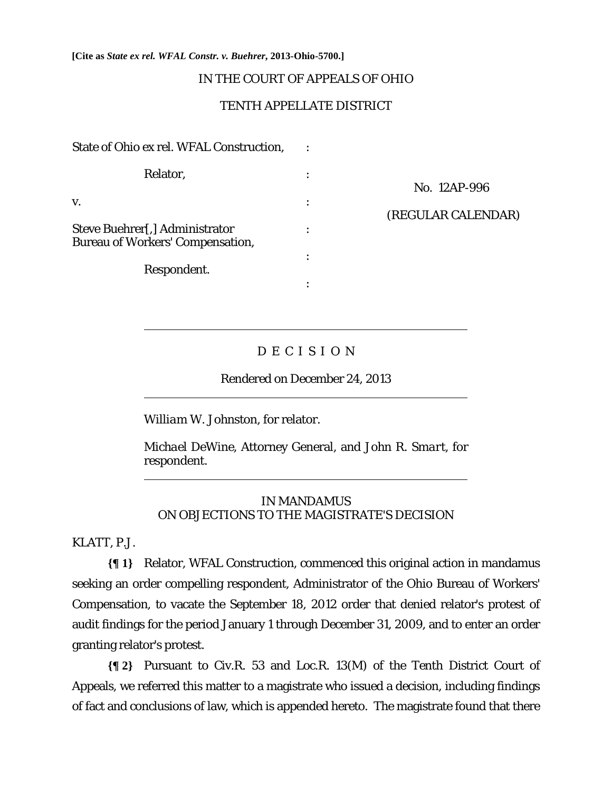**[Cite as** *State ex rel. WFAL Constr. v. Buehrer***, 2013-Ohio-5700.]**

# IN THE COURT OF APPEALS OF OHIO

# TENTH APPELLATE DISTRICT

State of Ohio ex rel. WFAL Construction, : Relator, in the set of  $\mathbb{R}$  is the set of  $\mathbb{R}$  is the set of  $\mathbb{R}$  is the set of  $\mathbb{R}$  is the set of  $\mathbb{R}$  is the set of  $\mathbb{R}$  is the set of  $\mathbb{R}$  is the set of  $\mathbb{R}$  is the set of  $\mathbb{R}$  is the  $\mathbf v$ .  $\mathbf v$ Steve Buehrer[,] Administrator : Bureau of Workers' Compensation, the contract of the contract of the contract of the contract of the contract of the contract of the contract of Respondent. the contract of the contract of the contract of the contract of the contract of the contract of the contract of

No. 12AP-996

(REGULAR CALENDAR)

# D E C I S I O N

## Rendered on December 24, 2013

*William W. Johnston,* for relator.

*Michael DeWine*, Attorney General, and *John R. Smart,* for respondent.

# IN MANDAMUS ON OBJECTIONS TO THE MAGISTRATE'S DECISION

KLATT, P.J.

 $\overline{a}$ 

 $\overline{a}$ 

 $\overline{a}$ 

**{¶ 1}** Relator, WFAL Construction, commenced this original action in mandamus seeking an order compelling respondent, Administrator of the Ohio Bureau of Workers' Compensation, to vacate the September 18, 2012 order that denied relator's protest of audit findings for the period January 1 through December 31, 2009, and to enter an order granting relator's protest.

**{¶ 2}** Pursuant to Civ.R. 53 and Loc.R. 13(M) of the Tenth District Court of Appeals, we referred this matter to a magistrate who issued a decision, including findings of fact and conclusions of law, which is appended hereto. The magistrate found that there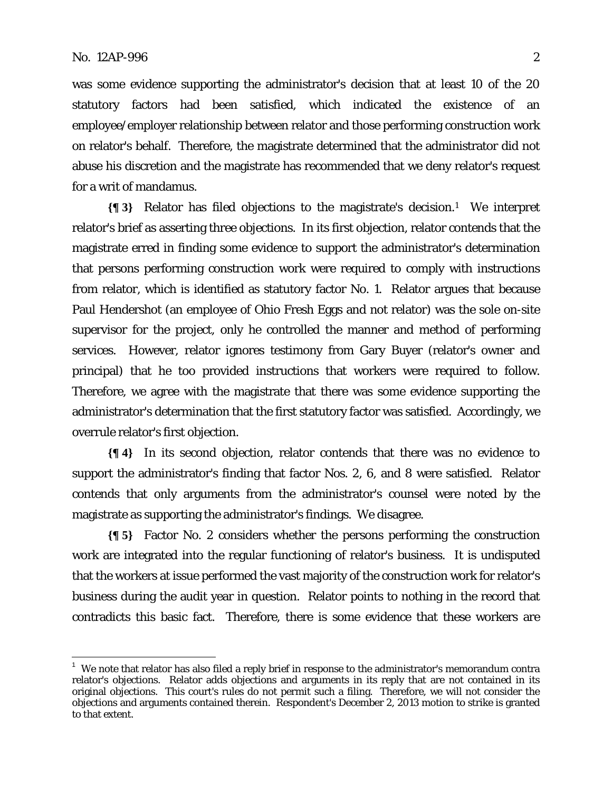<u>.</u>

was some evidence supporting the administrator's decision that at least 10 of the 20 statutory factors had been satisfied, which indicated the existence of an employee/employer relationship between relator and those performing construction work on relator's behalf. Therefore, the magistrate determined that the administrator did not abuse his discretion and the magistrate has recommended that we deny relator's request for a writ of mandamus.

**{¶ 3}** Relator has filed objections to the magistrate's decision.1 We interpret relator's brief as asserting three objections. In its first objection, relator contends that the magistrate erred in finding some evidence to support the administrator's determination that persons performing construction work were required to comply with instructions from relator, which is identified as statutory factor No. 1. Relator argues that because Paul Hendershot (an employee of Ohio Fresh Eggs and not relator) was the sole on-site supervisor for the project, only he controlled the manner and method of performing services. However, relator ignores testimony from Gary Buyer (relator's owner and principal) that he too provided instructions that workers were required to follow. Therefore, we agree with the magistrate that there was some evidence supporting the administrator's determination that the first statutory factor was satisfied. Accordingly, we overrule relator's first objection.

**{¶ 4}** In its second objection, relator contends that there was no evidence to support the administrator's finding that factor Nos. 2, 6, and 8 were satisfied. Relator contends that only arguments from the administrator's counsel were noted by the magistrate as supporting the administrator's findings. We disagree.

**{¶ 5}** Factor No. 2 considers whether the persons performing the construction work are integrated into the regular functioning of relator's business. It is undisputed that the workers at issue performed the vast majority of the construction work for relator's business during the audit year in question. Relator points to nothing in the record that contradicts this basic fact. Therefore, there is some evidence that these workers are

 $1$  We note that relator has also filed a reply brief in response to the administrator's memorandum contra relator's objections. Relator adds objections and arguments in its reply that are not contained in its original objections. This court's rules do not permit such a filing. Therefore, we will not consider the objections and arguments contained therein. Respondent's December 2, 2013 motion to strike is granted to that extent.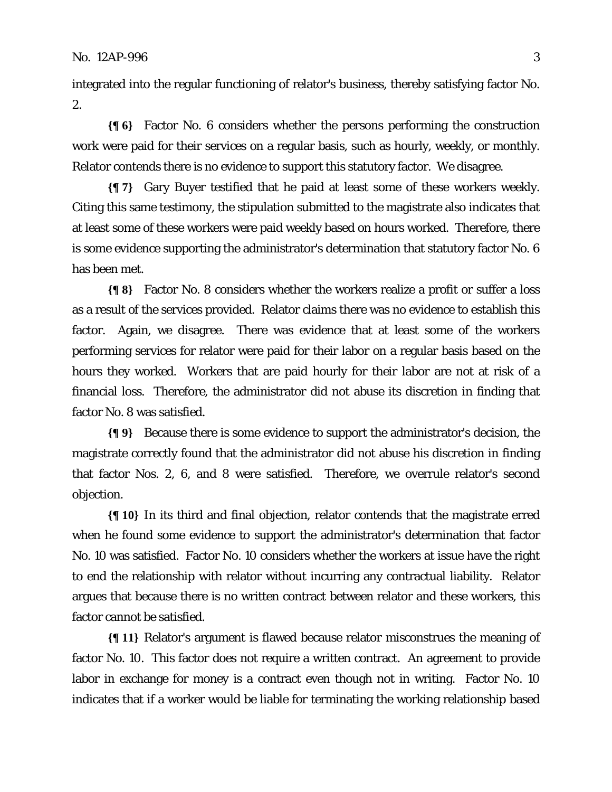integrated into the regular functioning of relator's business, thereby satisfying factor No. 2.

**{¶ 6}** Factor No. 6 considers whether the persons performing the construction work were paid for their services on a regular basis, such as hourly, weekly, or monthly. Relator contends there is no evidence to support this statutory factor. We disagree.

**{¶ 7}** Gary Buyer testified that he paid at least some of these workers weekly. Citing this same testimony, the stipulation submitted to the magistrate also indicates that at least some of these workers were paid weekly based on hours worked. Therefore, there is some evidence supporting the administrator's determination that statutory factor No. 6 has been met.

**{¶ 8}** Factor No. 8 considers whether the workers realize a profit or suffer a loss as a result of the services provided. Relator claims there was no evidence to establish this factor. Again, we disagree. There was evidence that at least some of the workers performing services for relator were paid for their labor on a regular basis based on the hours they worked. Workers that are paid hourly for their labor are not at risk of a financial loss. Therefore, the administrator did not abuse its discretion in finding that factor No. 8 was satisfied.

**{¶ 9}** Because there is some evidence to support the administrator's decision, the magistrate correctly found that the administrator did not abuse his discretion in finding that factor Nos. 2, 6, and 8 were satisfied. Therefore, we overrule relator's second objection.

**{¶ 10}** In its third and final objection, relator contends that the magistrate erred when he found some evidence to support the administrator's determination that factor No. 10 was satisfied. Factor No. 10 considers whether the workers at issue have the right to end the relationship with relator without incurring any contractual liability. Relator argues that because there is no written contract between relator and these workers, this factor cannot be satisfied.

**{¶ 11}** Relator's argument is flawed because relator misconstrues the meaning of factor No. 10. This factor does not require a written contract. An agreement to provide labor in exchange for money is a contract even though not in writing. Factor No. 10 indicates that if a worker would be liable for terminating the working relationship based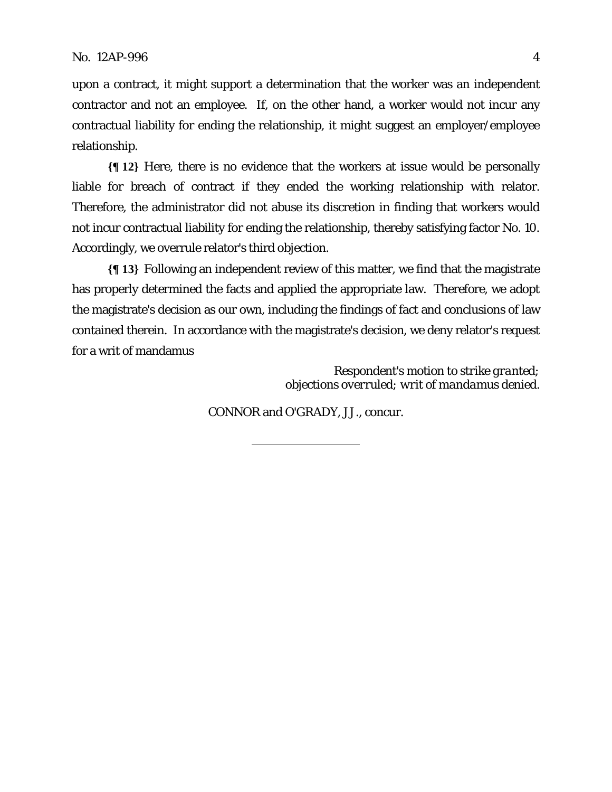upon a contract, it might support a determination that the worker was an independent contractor and not an employee. If, on the other hand, a worker would not incur any contractual liability for ending the relationship, it might suggest an employer/employee relationship.

**{¶ 12}** Here, there is no evidence that the workers at issue would be personally liable for breach of contract if they ended the working relationship with relator. Therefore, the administrator did not abuse its discretion in finding that workers would not incur contractual liability for ending the relationship, thereby satisfying factor No. 10. Accordingly, we overrule relator's third objection.

**{¶ 13}** Following an independent review of this matter, we find that the magistrate has properly determined the facts and applied the appropriate law. Therefore, we adopt the magistrate's decision as our own, including the findings of fact and conclusions of law contained therein. In accordance with the magistrate's decision, we deny relator's request for a writ of mandamus

> *Respondent's motion to strike granted; objections overruled; writ of mandamus denied.*

CONNOR and O'GRADY, JJ., concur.

l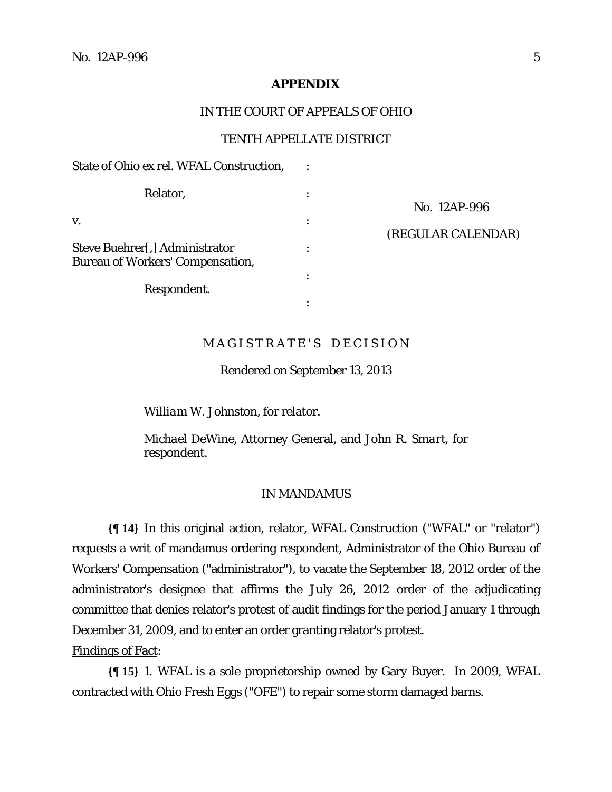### **APPENDIX**

### IN THE COURT OF APPEALS OF OHIO

# TENTH APPELLATE DISTRICT

| State of Ohio ex rel. WFAL Construction,                                  |   |                    |
|---------------------------------------------------------------------------|---|--------------------|
| Relator,                                                                  |   |                    |
| V.                                                                        | ٠ | No. 12AP-996       |
|                                                                           |   | (REGULAR CALENDAR) |
| Steve Buehrer[,] Administrator<br><b>Bureau of Workers' Compensation,</b> | ٠ |                    |
| Respondent.                                                               | ٠ |                    |
|                                                                           | ٠ |                    |
|                                                                           |   |                    |

## MAGISTRATE'S DECISION

Rendered on September 13, 2013

*William W. Johnston,* for relator.

*Michael DeWine*, Attorney General, and *John R. Smart,* for respondent.

### IN MANDAMUS

**{¶ 14}** In this original action, relator, WFAL Construction ("WFAL" or "relator") requests a writ of mandamus ordering respondent, Administrator of the Ohio Bureau of Workers' Compensation ("administrator"), to vacate the September 18, 2012 order of the administrator's designee that affirms the July 26, 2012 order of the adjudicating committee that denies relator's protest of audit findings for the period January 1 through December 31, 2009, and to enter an order granting relator's protest.

Findings of Fact:

 $\overline{a}$ 

 $\overline{a}$ 

**{¶ 15}** 1. WFAL is a sole proprietorship owned by Gary Buyer. In 2009, WFAL contracted with Ohio Fresh Eggs ("OFE") to repair some storm damaged barns.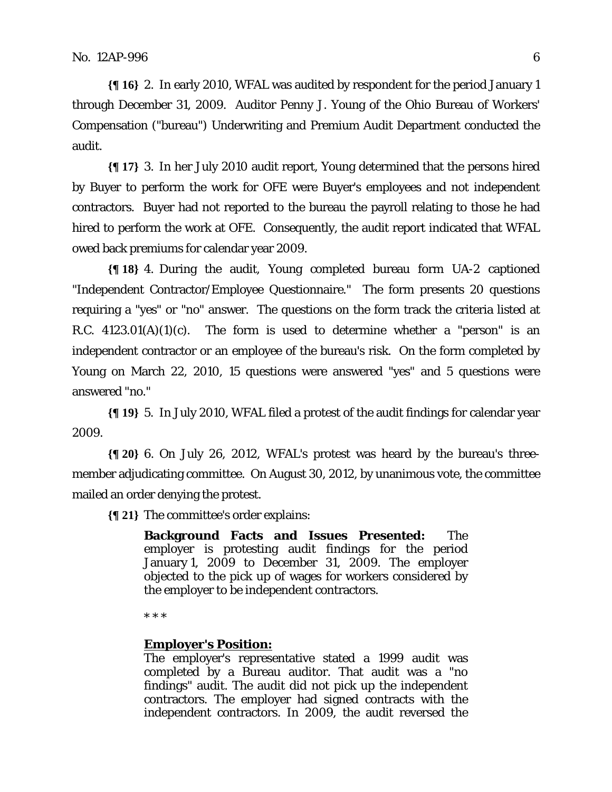**{¶ 16}** 2. In early 2010, WFAL was audited by respondent for the period January 1 through December 31, 2009. Auditor Penny J. Young of the Ohio Bureau of Workers' Compensation ("bureau") Underwriting and Premium Audit Department conducted the audit.

**{¶ 17}** 3. In her July 2010 audit report, Young determined that the persons hired by Buyer to perform the work for OFE were Buyer's employees and not independent contractors. Buyer had not reported to the bureau the payroll relating to those he had hired to perform the work at OFE. Consequently, the audit report indicated that WFAL owed back premiums for calendar year 2009.

**{¶ 18}** 4. During the audit, Young completed bureau form UA-2 captioned "Independent Contractor/Employee Questionnaire." The form presents 20 questions requiring a "yes" or "no" answer. The questions on the form track the criteria listed at R.C.  $4123.01(A)(1)(c)$ . The form is used to determine whether a "person" is an independent contractor or an employee of the bureau's risk. On the form completed by Young on March 22, 2010, 15 questions were answered "yes" and 5 questions were answered "no."

**{¶ 19}** 5. In July 2010, WFAL filed a protest of the audit findings for calendar year 2009.

**{¶ 20}** 6. On July 26, 2012, WFAL's protest was heard by the bureau's threemember adjudicating committee. On August 30, 2012, by unanimous vote, the committee mailed an order denying the protest.

**{¶ 21}** The committee's order explains:

**Background Facts and Issues Presented:** The employer is protesting audit findings for the period January 1, 2009 to December 31, 2009. The employer objected to the pick up of wages for workers considered by the employer to be independent contractors.

\* \* \*

### **Employer's Position:**

The employer's representative stated a 1999 audit was completed by a Bureau auditor. That audit was a "no findings" audit. The audit did not pick up the independent contractors. The employer had signed contracts with the independent contractors. In 2009, the audit reversed the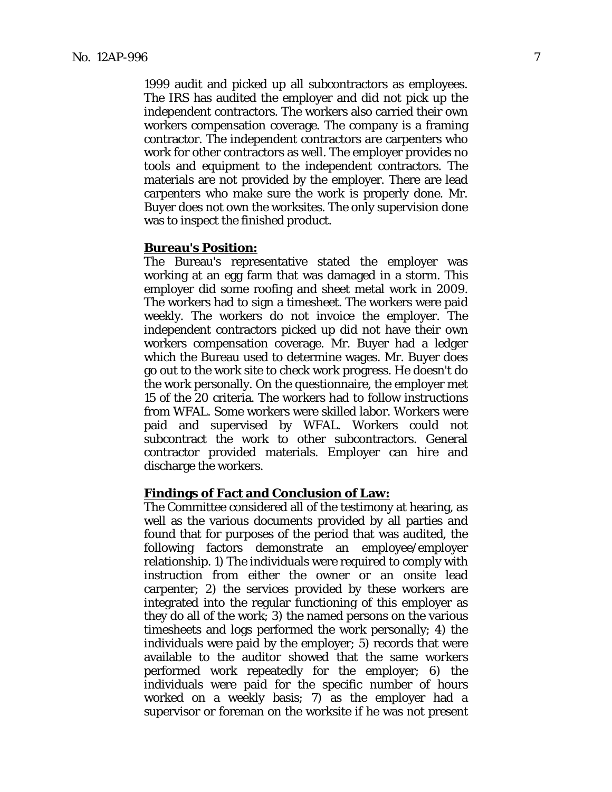1999 audit and picked up all subcontractors as employees. The IRS has audited the employer and did not pick up the independent contractors. The workers also carried their own workers compensation coverage. The company is a framing contractor. The independent contractors are carpenters who work for other contractors as well. The employer provides no tools and equipment to the independent contractors. The materials are not provided by the employer. There are lead carpenters who make sure the work is properly done. Mr. Buyer does not own the worksites. The only supervision done was to inspect the finished product.

#### **Bureau's Position:**

The Bureau's representative stated the employer was working at an egg farm that was damaged in a storm. This employer did some roofing and sheet metal work in 2009. The workers had to sign a timesheet. The workers were paid weekly. The workers do not invoice the employer. The independent contractors picked up did not have their own workers compensation coverage. Mr. Buyer had a ledger which the Bureau used to determine wages. Mr. Buyer does go out to the work site to check work progress. He doesn't do the work personally. On the questionnaire, the employer met 15 of the 20 criteria. The workers had to follow instructions from WFAL. Some workers were skilled labor. Workers were paid and supervised by WFAL. Workers could not subcontract the work to other subcontractors. General contractor provided materials. Employer can hire and discharge the workers.

#### **Findings of Fact and Conclusion of Law:**

The Committee considered all of the testimony at hearing, as well as the various documents provided by all parties and found that for purposes of the period that was audited, the following factors demonstrate an employee/employer relationship. 1) The individuals were required to comply with instruction from either the owner or an onsite lead carpenter; 2) the services provided by these workers are integrated into the regular functioning of this employer as they do all of the work; 3) the named persons on the various timesheets and logs performed the work personally; 4) the individuals were paid by the employer; 5) records that were available to the auditor showed that the same workers performed work repeatedly for the employer; 6) the individuals were paid for the specific number of hours worked on a weekly basis; 7) as the employer had a supervisor or foreman on the worksite if he was not present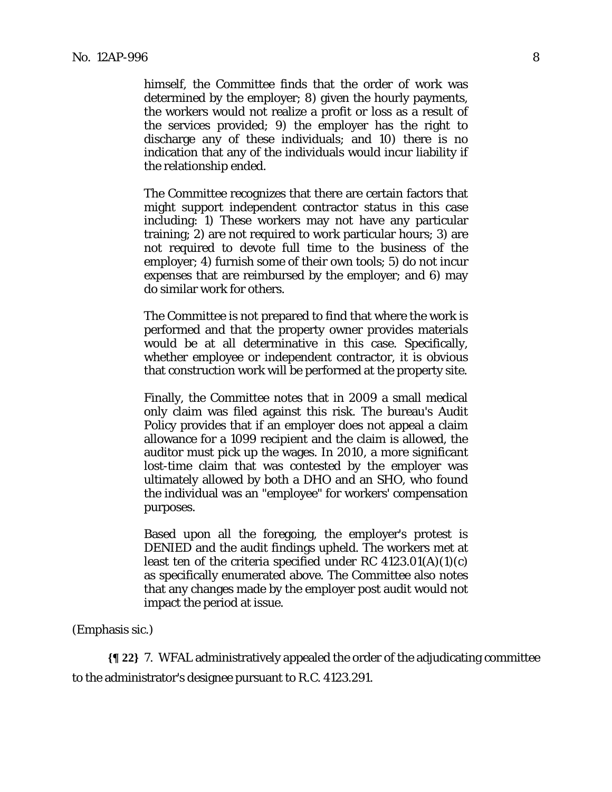himself, the Committee finds that the order of work was determined by the employer; 8) given the hourly payments, the workers would not realize a profit or loss as a result of the services provided; 9) the employer has the right to discharge any of these individuals; and 10) there is no indication that any of the individuals would incur liability if the relationship ended.

The Committee recognizes that there are certain factors that might support independent contractor status in this case including: 1) These workers may not have any particular training; 2) are not required to work particular hours; 3) are not required to devote full time to the business of the employer; 4) furnish some of their own tools; 5) do not incur expenses that are reimbursed by the employer; and 6) may do similar work for others.

The Committee is not prepared to find that where the work is performed and that the property owner provides materials would be at all determinative in this case. Specifically, whether employee or independent contractor, it is obvious that construction work will be performed at the property site.

Finally, the Committee notes that in 2009 a small medical only claim was filed against this risk. The bureau's Audit Policy provides that if an employer does not appeal a claim allowance for a 1099 recipient and the claim is allowed, the auditor must pick up the wages. In 2010, a more significant lost-time claim that was contested by the employer was ultimately allowed by both a DHO and an SHO, who found the individual was an "employee" for workers' compensation purposes.

Based upon all the foregoing, the employer's protest is DENIED and the audit findings upheld. The workers met at least ten of the criteria specified under RC 4123.01(A)(1)(c) as specifically enumerated above. The Committee also notes that any changes made by the employer post audit would not impact the period at issue.

(Emphasis sic.)

**{¶ 22}** 7. WFAL administratively appealed the order of the adjudicating committee to the administrator's designee pursuant to R.C. 4123.291.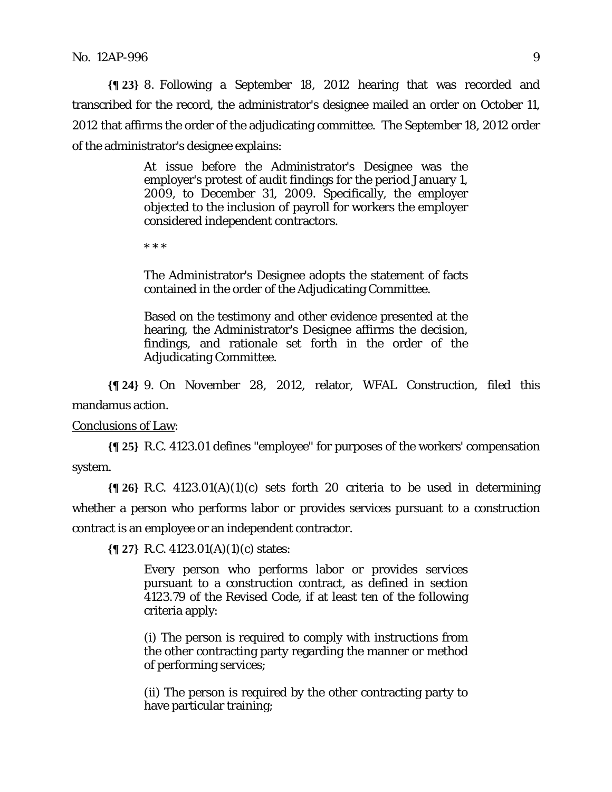**{¶ 23}** 8. Following a September 18, 2012 hearing that was recorded and transcribed for the record, the administrator's designee mailed an order on October 11, 2012 that affirms the order of the adjudicating committee. The September 18, 2012 order of the administrator's designee explains:

> At issue before the Administrator's Designee was the employer's protest of audit findings for the period January 1, 2009, to December 31, 2009. Specifically, the employer objected to the inclusion of payroll for workers the employer considered independent contractors.

\* \* \*

The Administrator's Designee adopts the statement of facts contained in the order of the Adjudicating Committee.

Based on the testimony and other evidence presented at the hearing, the Administrator's Designee affirms the decision, findings, and rationale set forth in the order of the Adjudicating Committee.

**{¶ 24}** 9. On November 28, 2012, relator, WFAL Construction, filed this mandamus action.

Conclusions of Law:

**{¶ 25}** R.C. 4123.01 defines "employee" for purposes of the workers' compensation system.

**{¶ 26}** R.C. 4123.01(A)(1)(c) sets forth 20 criteria to be used in determining whether a person who performs labor or provides services pursuant to a construction contract is an employee or an independent contractor.

**{¶ 27}** R.C. 4123.01(A)(1)(c) states:

Every person who performs labor or provides services pursuant to a construction contract, as defined in section 4123.79 of the Revised Code, if at least ten of the following criteria apply:

(i) The person is required to comply with instructions from the other contracting party regarding the manner or method of performing services;

(ii) The person is required by the other contracting party to have particular training;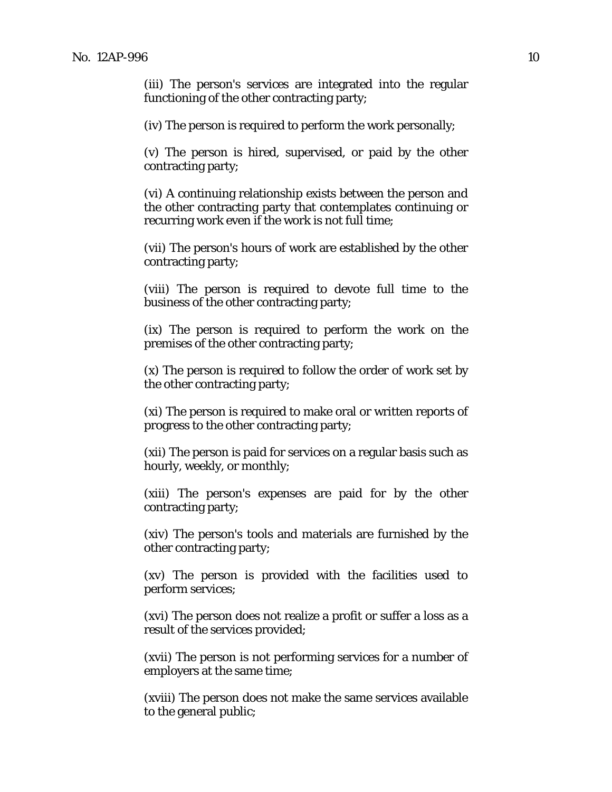(iii) The person's services are integrated into the regular functioning of the other contracting party;

(iv) The person is required to perform the work personally;

(v) The person is hired, supervised, or paid by the other contracting party;

(vi) A continuing relationship exists between the person and the other contracting party that contemplates continuing or recurring work even if the work is not full time;

(vii) The person's hours of work are established by the other contracting party;

(viii) The person is required to devote full time to the business of the other contracting party;

(ix) The person is required to perform the work on the premises of the other contracting party;

(x) The person is required to follow the order of work set by the other contracting party;

(xi) The person is required to make oral or written reports of progress to the other contracting party;

(xii) The person is paid for services on a regular basis such as hourly, weekly, or monthly;

(xiii) The person's expenses are paid for by the other contracting party;

(xiv) The person's tools and materials are furnished by the other contracting party;

(xv) The person is provided with the facilities used to perform services;

(xvi) The person does not realize a profit or suffer a loss as a result of the services provided;

(xvii) The person is not performing services for a number of employers at the same time;

(xviii) The person does not make the same services available to the general public;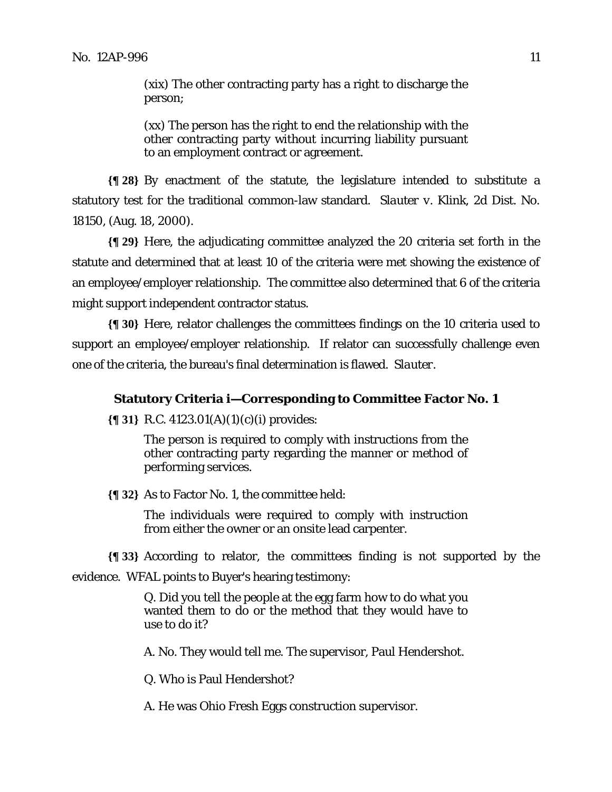(xix) The other contracting party has a right to discharge the person;

(xx) The person has the right to end the relationship with the other contracting party without incurring liability pursuant to an employment contract or agreement.

**{¶ 28}** By enactment of the statute, the legislature intended to substitute a statutory test for the traditional common-law standard. *Slauter v. Klink,* 2d Dist. No. 18150, (Aug. 18, 2000).

**{¶ 29}** Here, the adjudicating committee analyzed the 20 criteria set forth in the statute and determined that at least 10 of the criteria were met showing the existence of an employee/employer relationship. The committee also determined that 6 of the criteria might support independent contractor status.

**{¶ 30}** Here, relator challenges the committees findings on the 10 criteria used to support an employee/employer relationship. If relator can successfully challenge even one of the criteria, the bureau's final determination is flawed. *Slauter*.

### **Statutory Criteria i—Corresponding to Committee Factor No. 1**

**{¶ 31}** R.C. 4123.01(A)(1)(c)(i) provides:

The person is required to comply with instructions from the other contracting party regarding the manner or method of performing services.

**{¶ 32}** As to Factor No. 1, the committee held:

The individuals were required to comply with instruction from either the owner or an onsite lead carpenter.

**{¶ 33}** According to relator, the committees finding is not supported by the evidence. WFAL points to Buyer's hearing testimony:

> Q. Did you tell the people at the egg farm how to do what you wanted them to do or the method that they would have to use to do it?

A. No. They would tell me. The supervisor, Paul Hendershot.

Q. Who is Paul Hendershot?

A. He was Ohio Fresh Eggs construction supervisor.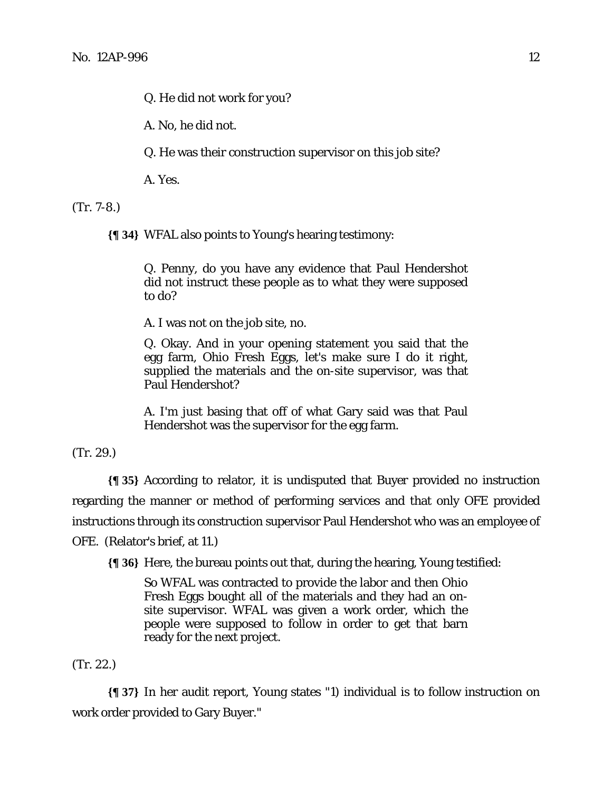Q. He did not work for you?

A. No, he did not.

Q. He was their construction supervisor on this job site?

A. Yes.

(Tr. 7-8.)

**{¶ 34}** WFAL also points to Young's hearing testimony:

Q. Penny, do you have any evidence that Paul Hendershot did not instruct these people as to what they were supposed to do?

A. I was not on the job site, no.

Q. Okay. And in your opening statement you said that the egg farm, Ohio Fresh Eggs, let's make sure I do it right, supplied the materials and the on-site supervisor, was that Paul Hendershot?

A. I'm just basing that off of what Gary said was that Paul Hendershot was the supervisor for the egg farm.

(Tr. 29.)

**{¶ 35}** According to relator, it is undisputed that Buyer provided no instruction regarding the manner or method of performing services and that only OFE provided instructions through its construction supervisor Paul Hendershot who was an employee of OFE. (Relator's brief, at 11.)

**{¶ 36}** Here, the bureau points out that, during the hearing, Young testified:

So WFAL was contracted to provide the labor and then Ohio Fresh Eggs bought all of the materials and they had an onsite supervisor. WFAL was given a work order, which the people were supposed to follow in order to get that barn ready for the next project.

(Tr. 22.)

**{¶ 37}** In her audit report, Young states "1) individual is to follow instruction on work order provided to Gary Buyer."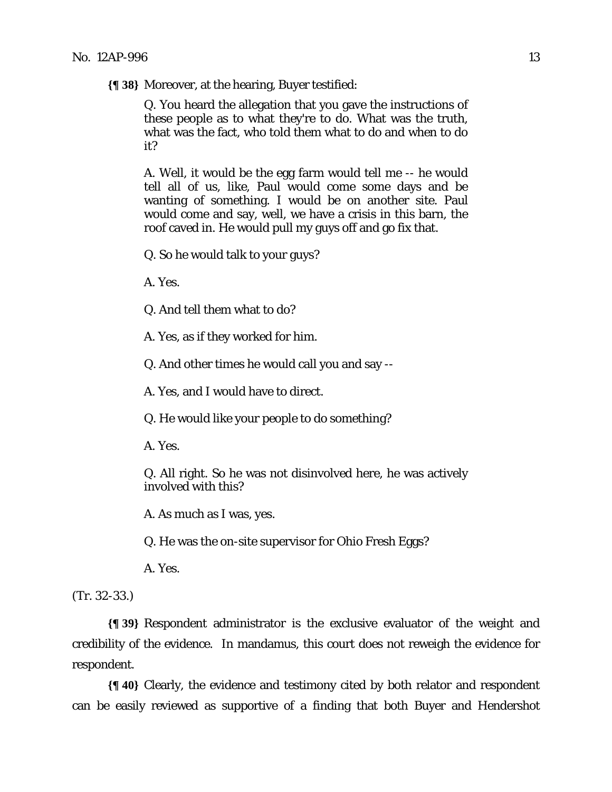**{¶ 38}** Moreover, at the hearing, Buyer testified:

Q. You heard the allegation that you gave the instructions of these people as to what they're to do. What was the truth, what was the fact, who told them what to do and when to do it?

A. Well, it would be the egg farm would tell me -- he would tell all of us, like, Paul would come some days and be wanting of something. I would be on another site. Paul would come and say, well, we have a crisis in this barn, the roof caved in. He would pull my guys off and go fix that.

Q. So he would talk to your guys?

A. Yes.

Q. And tell them what to do?

A. Yes, as if they worked for him.

Q. And other times he would call you and say --

A. Yes, and I would have to direct.

Q. He would like your people to do something?

A. Yes.

Q. All right. So he was not disinvolved here, he was actively involved with this?

A. As much as I was, yes.

Q. He was the on-site supervisor for Ohio Fresh Eggs?

A. Yes.

(Tr. 32-33.)

**{¶ 39}** Respondent administrator is the exclusive evaluator of the weight and credibility of the evidence. In mandamus, this court does not reweigh the evidence for respondent.

**{¶ 40}** Clearly, the evidence and testimony cited by both relator and respondent can be easily reviewed as supportive of a finding that both Buyer and Hendershot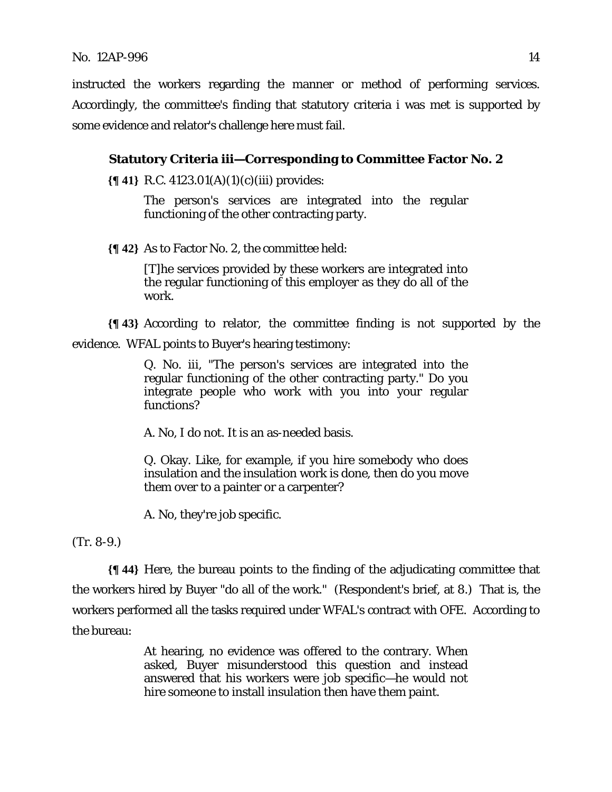instructed the workers regarding the manner or method of performing services. Accordingly, the committee's finding that statutory criteria i was met is supported by some evidence and relator's challenge here must fail.

### **Statutory Criteria iii—Corresponding to Committee Factor No. 2**

**{¶ 41}** R.C. 4123.01(A)(1)(c)(iii) provides:

The person's services are integrated into the regular functioning of the other contracting party.

**{¶ 42}** As to Factor No. 2, the committee held:

[T]he services provided by these workers are integrated into the regular functioning of this employer as they do all of the work.

**{¶ 43}** According to relator, the committee finding is not supported by the evidence. WFAL points to Buyer's hearing testimony:

> Q. No. iii, "The person's services are integrated into the regular functioning of the other contracting party." Do you integrate people who work with you into your regular functions?

A. No, I do not. It is an as-needed basis.

Q. Okay. Like, for example, if you hire somebody who does insulation and the insulation work is done, then do you move them over to a painter or a carpenter?

A. No, they're job specific.

(Tr. 8-9.)

**{¶ 44}** Here, the bureau points to the finding of the adjudicating committee that the workers hired by Buyer "do all of the work." (Respondent's brief, at 8.) That is, the workers performed all the tasks required under WFAL's contract with OFE. According to the bureau:

> At hearing, no evidence was offered to the contrary. When asked, Buyer misunderstood this question and instead answered that his workers were job specific—he would not hire someone to install insulation then have them paint.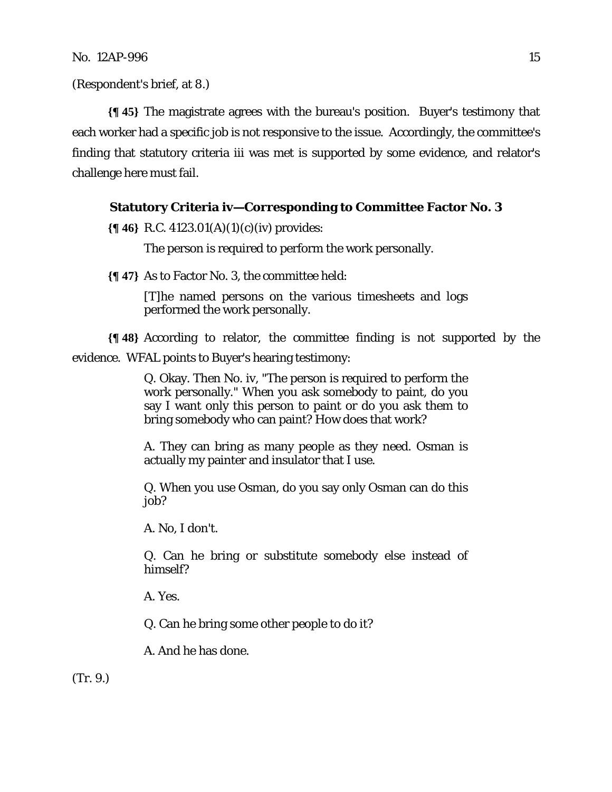(Respondent's brief, at 8.)

**{¶ 45}** The magistrate agrees with the bureau's position. Buyer's testimony that each worker had a specific job is not responsive to the issue. Accordingly, the committee's finding that statutory criteria iii was met is supported by some evidence, and relator's challenge here must fail.

# **Statutory Criteria iv—Corresponding to Committee Factor No. 3**

**{¶ 46}** R.C. 4123.01(A)(1)(c)(iv) provides:

The person is required to perform the work personally.

**{¶ 47}** As to Factor No. 3, the committee held:

[T]he named persons on the various timesheets and logs performed the work personally.

**{¶ 48}** According to relator, the committee finding is not supported by the evidence. WFAL points to Buyer's hearing testimony:

> Q. Okay. Then No. iv, "The person is required to perform the work personally." When you ask somebody to paint, do you say I want only this person to paint or do you ask them to bring somebody who can paint? How does that work?

> A. They can bring as many people as they need. Osman is actually my painter and insulator that I use.

> Q. When you use Osman, do you say only Osman can do this job?

A. No, I don't.

Q. Can he bring or substitute somebody else instead of himself?

A. Yes.

Q. Can he bring some other people to do it?

A. And he has done.

(Tr. 9.)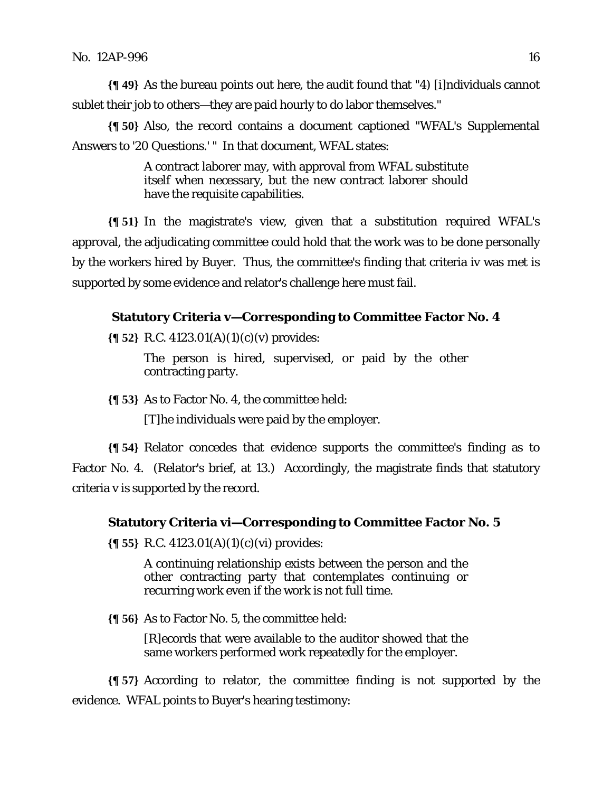**{¶ 49}** As the bureau points out here, the audit found that "4) [i]ndividuals cannot sublet their job to others—they are paid hourly to do labor themselves."

**{¶ 50}** Also, the record contains a document captioned "WFAL's Supplemental Answers to '20 Questions.' " In that document, WFAL states:

> A contract laborer may, with approval from WFAL substitute itself when necessary, but the new contract laborer should have the requisite capabilities.

**{¶ 51}** In the magistrate's view, given that a substitution required WFAL's approval, the adjudicating committee could hold that the work was to be done personally by the workers hired by Buyer. Thus, the committee's finding that criteria iv was met is supported by some evidence and relator's challenge here must fail.

# **Statutory Criteria v—Corresponding to Committee Factor No. 4**

**{¶ 52}** R.C. 4123.01(A)(1)(c)(v) provides:

The person is hired, supervised, or paid by the other contracting party.

**{¶ 53}** As to Factor No. 4, the committee held:

[T]he individuals were paid by the employer.

**{¶ 54}** Relator concedes that evidence supports the committee's finding as to Factor No. 4. (Relator's brief, at 13.) Accordingly, the magistrate finds that statutory criteria v is supported by the record.

## **Statutory Criteria vi—Corresponding to Committee Factor No. 5**

**{¶ 55}** R.C. 4123.01(A)(1)(c)(vi) provides:

A continuing relationship exists between the person and the other contracting party that contemplates continuing or recurring work even if the work is not full time.

**{¶ 56}** As to Factor No. 5, the committee held:

[R]ecords that were available to the auditor showed that the same workers performed work repeatedly for the employer.

**{¶ 57}** According to relator, the committee finding is not supported by the evidence. WFAL points to Buyer's hearing testimony: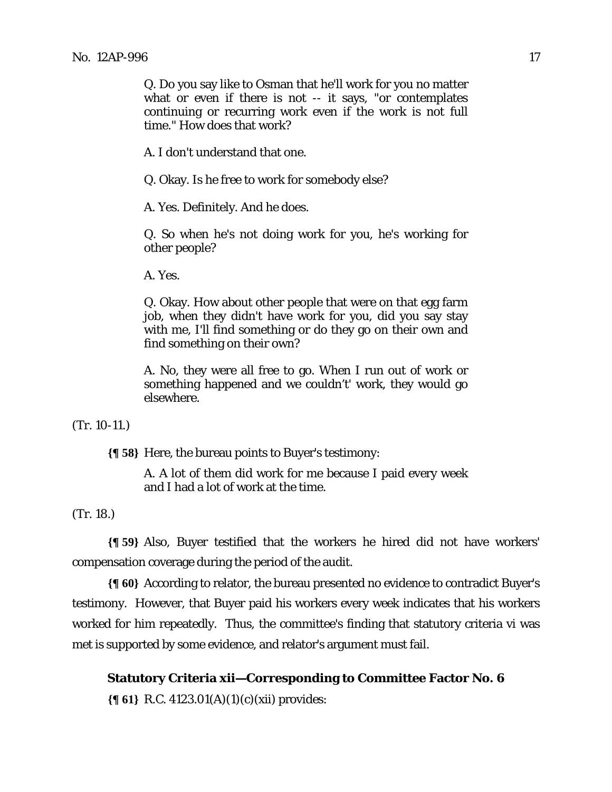Q. Do you say like to Osman that he'll work for you no matter what or even if there is not -- it says, "or contemplates continuing or recurring work even if the work is not full time." How does that work?

A. I don't understand that one.

Q. Okay. Is he free to work for somebody else?

A. Yes. Definitely. And he does.

Q. So when he's not doing work for you, he's working for other people?

A. Yes.

Q. Okay. How about other people that were on that egg farm job, when they didn't have work for you, did you say stay with me, I'll find something or do they go on their own and find something on their own?

A. No, they were all free to go. When I run out of work or something happened and we couldn't' work, they would go elsewhere.

(Tr. 10-11.)

**{¶ 58}** Here, the bureau points to Buyer's testimony:

A. A lot of them did work for me because I paid every week and I had a lot of work at the time.

(Tr. 18.)

**{¶ 59}** Also, Buyer testified that the workers he hired did not have workers' compensation coverage during the period of the audit.

**{¶ 60}** According to relator, the bureau presented no evidence to contradict Buyer's testimony. However, that Buyer paid his workers every week indicates that his workers worked for him repeatedly. Thus, the committee's finding that statutory criteria vi was met is supported by some evidence, and relator's argument must fail.

### **Statutory Criteria xii—Corresponding to Committee Factor No. 6**

**{¶ 61}** R.C. 4123.01(A)(1)(c)(xii) provides: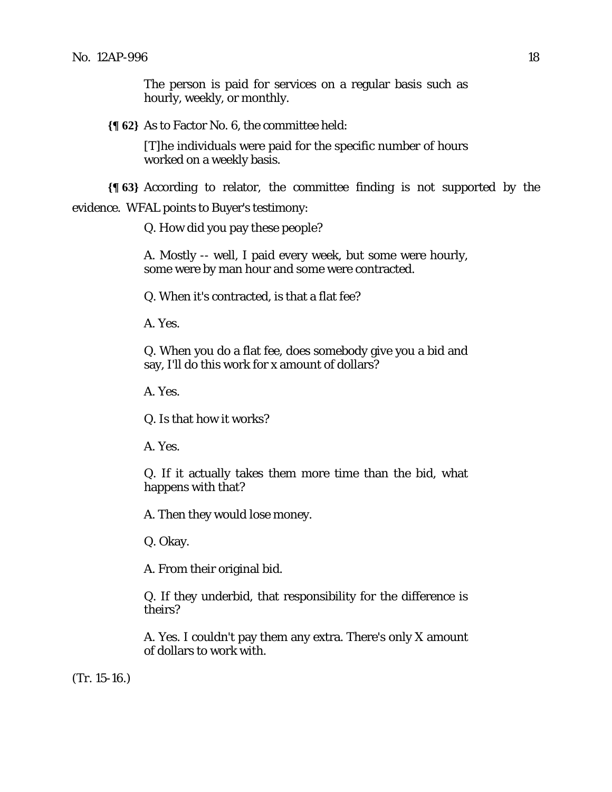The person is paid for services on a regular basis such as hourly, weekly, or monthly.

**{¶ 62}** As to Factor No. 6, the committee held:

[T]he individuals were paid for the specific number of hours worked on a weekly basis.

**{¶ 63}** According to relator, the committee finding is not supported by the evidence. WFAL points to Buyer's testimony:

Q. How did you pay these people?

A. Mostly -- well, I paid every week, but some were hourly, some were by man hour and some were contracted.

Q. When it's contracted, is that a flat fee?

A. Yes.

Q. When you do a flat fee, does somebody give you a bid and say, I'll do this work for x amount of dollars?

A. Yes.

Q. Is that how it works?

A. Yes.

Q. If it actually takes them more time than the bid, what happens with that?

A. Then they would lose money.

Q. Okay.

A. From their original bid.

Q. If they underbid, that responsibility for the difference is theirs?

A. Yes. I couldn't pay them any extra. There's only X amount of dollars to work with.

(Tr. 15-16.)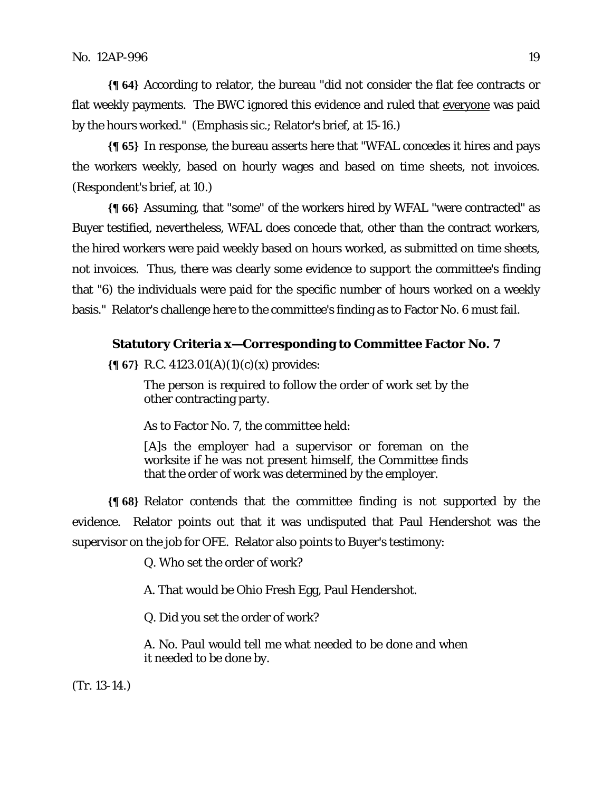**{¶ 64}** According to relator, the bureau "did not consider the flat fee contracts or flat weekly payments. The BWC ignored this evidence and ruled that everyone was paid by the hours worked." (Emphasis sic.; Relator's brief, at 15-16.)

**{¶ 65}** In response, the bureau asserts here that "WFAL concedes it hires and pays the workers weekly, based on hourly wages and based on time sheets, not invoices. (Respondent's brief, at 10.)

**{¶ 66}** Assuming, that "some" of the workers hired by WFAL "were contracted" as Buyer testified, nevertheless, WFAL does concede that, other than the contract workers, the hired workers were paid weekly based on hours worked, as submitted on time sheets, not invoices. Thus, there was clearly some evidence to support the committee's finding that "6) the individuals were paid for the specific number of hours worked on a weekly basis." Relator's challenge here to the committee's finding as to Factor No. 6 must fail.

### **Statutory Criteria x—Corresponding to Committee Factor No. 7**

**{¶ 67}** R.C. 4123.01(A)(1)(c)(x) provides:

The person is required to follow the order of work set by the other contracting party.

As to Factor No. 7, the committee held:

[A]s the employer had a supervisor or foreman on the worksite if he was not present himself, the Committee finds that the order of work was determined by the employer.

**{¶ 68}** Relator contends that the committee finding is not supported by the evidence. Relator points out that it was undisputed that Paul Hendershot was the supervisor on the job for OFE. Relator also points to Buyer's testimony:

Q. Who set the order of work?

A. That would be Ohio Fresh Egg, Paul Hendershot.

Q. Did you set the order of work?

A. No. Paul would tell me what needed to be done and when it needed to be done by.

(Tr. 13-14.)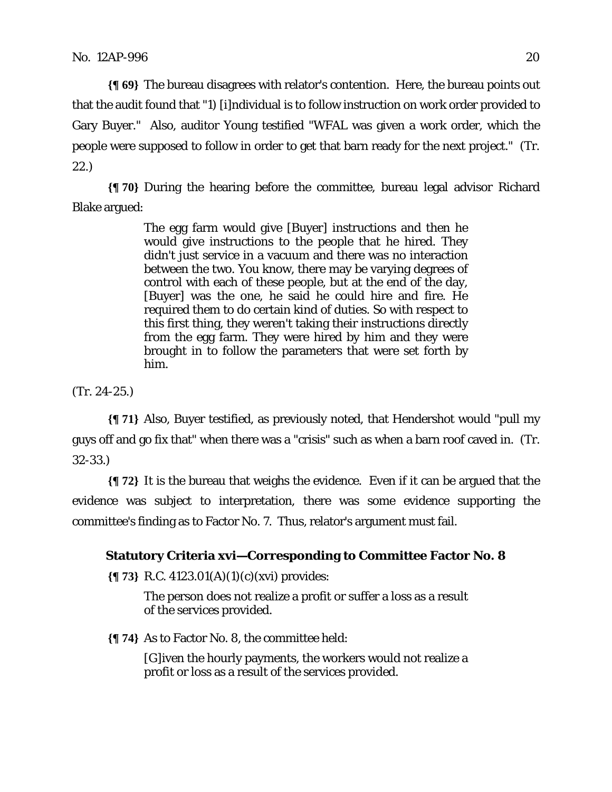**{¶ 69}** The bureau disagrees with relator's contention. Here, the bureau points out that the audit found that "1) [i]ndividual is to follow instruction on work order provided to Gary Buyer." Also, auditor Young testified "WFAL was given a work order, which the people were supposed to follow in order to get that barn ready for the next project." (Tr. 22.)

**{¶ 70}** During the hearing before the committee, bureau legal advisor Richard Blake argued:

> The egg farm would give [Buyer] instructions and then he would give instructions to the people that he hired. They didn't just service in a vacuum and there was no interaction between the two. You know, there may be varying degrees of control with each of these people, but at the end of the day, [Buyer] was the one, he said he could hire and fire. He required them to do certain kind of duties. So with respect to this first thing, they weren't taking their instructions directly from the egg farm. They were hired by him and they were brought in to follow the parameters that were set forth by him.

(Tr. 24-25.)

**{¶ 71}** Also, Buyer testified, as previously noted, that Hendershot would "pull my guys off and go fix that" when there was a "crisis" such as when a barn roof caved in. (Tr. 32-33.)

**{¶ 72}** It is the bureau that weighs the evidence. Even if it can be argued that the evidence was subject to interpretation, there was some evidence supporting the committee's finding as to Factor No. 7. Thus, relator's argument must fail.

# **Statutory Criteria xvi—Corresponding to Committee Factor No. 8**

**{¶ 73}** R.C. 4123.01(A)(1)(c)(xvi) provides:

The person does not realize a profit or suffer a loss as a result of the services provided.

**{¶ 74}** As to Factor No. 8, the committee held:

[G]iven the hourly payments, the workers would not realize a profit or loss as a result of the services provided.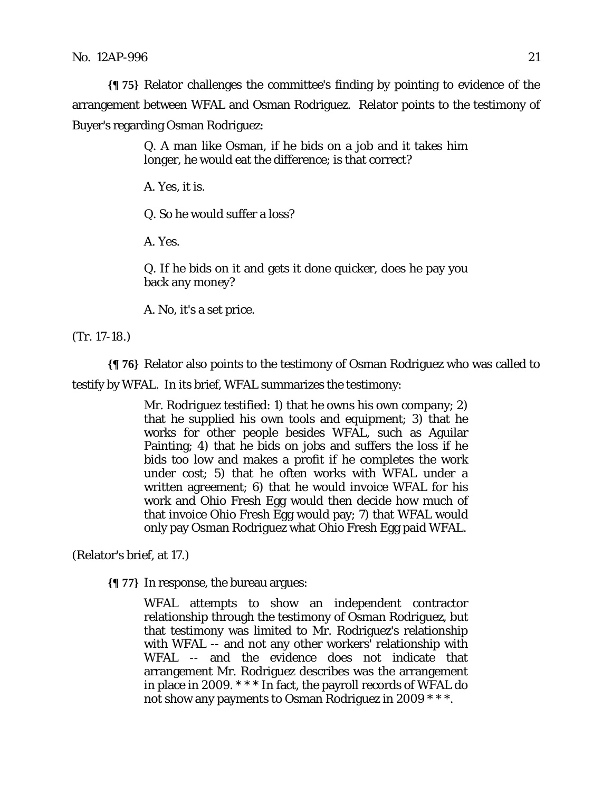**{¶ 75}** Relator challenges the committee's finding by pointing to evidence of the arrangement between WFAL and Osman Rodriguez. Relator points to the testimony of Buyer's regarding Osman Rodriguez:

> Q. A man like Osman, if he bids on a job and it takes him longer, he would eat the difference; is that correct?

A. Yes, it is.

Q. So he would suffer a loss?

A. Yes.

Q. If he bids on it and gets it done quicker, does he pay you back any money?

A. No, it's a set price.

(Tr. 17-18.)

**{¶ 76}** Relator also points to the testimony of Osman Rodriguez who was called to

testify by WFAL. In its brief, WFAL summarizes the testimony:

Mr. Rodriguez testified: 1) that he owns his own company; 2) that he supplied his own tools and equipment; 3) that he works for other people besides WFAL, such as Aguilar Painting; 4) that he bids on jobs and suffers the loss if he bids too low and makes a profit if he completes the work under cost; 5) that he often works with WFAL under a written agreement; 6) that he would invoice WFAL for his work and Ohio Fresh Egg would then decide how much of that invoice Ohio Fresh Egg would pay; 7) that WFAL would only pay Osman Rodriguez what Ohio Fresh Egg paid WFAL.

(Relator's brief, at 17.)

**{¶ 77}** In response, the bureau argues:

WFAL attempts to show an independent contractor relationship through the testimony of Osman Rodriguez, but that testimony was limited to Mr. Rodriguez's relationship with WFAL -- and not any other workers' relationship with WFAL -- and the evidence does not indicate that arrangement Mr. Rodriguez describes was the arrangement in place in 2009. \* \* \* In fact, the payroll records of WFAL do not show any payments to Osman Rodriguez in 2009 \* \* \*.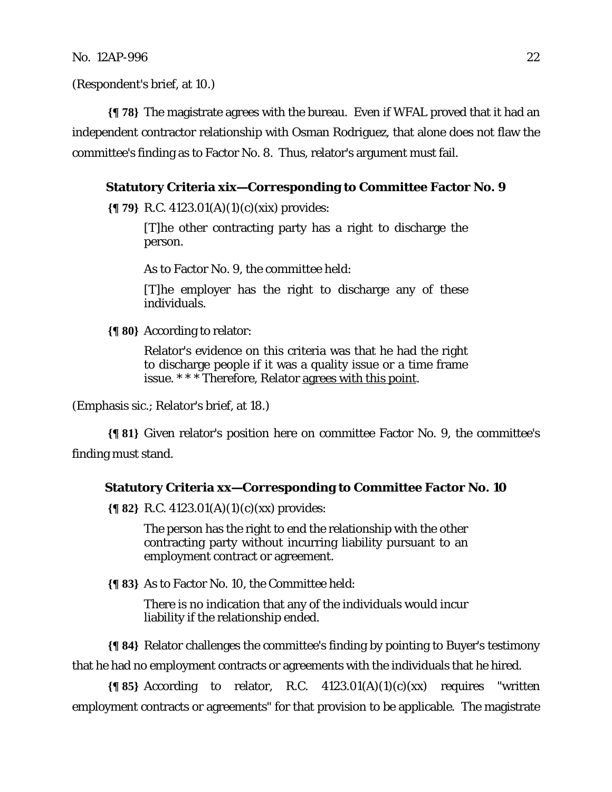(Respondent's brief, at 10.)

**{¶ 78}** The magistrate agrees with the bureau. Even if WFAL proved that it had an independent contractor relationship with Osman Rodriguez, that alone does not flaw the committee's finding as to Factor No. 8. Thus, relator's argument must fail.

### **Statutory Criteria xix—Corresponding to Committee Factor No. 9**

**{¶ 79}** R.C. 4123.01(A)(1)(c)(xix) provides:

[T]he other contracting party has a right to discharge the person.

As to Factor No. 9, the committee held:

[T]he employer has the right to discharge any of these individuals.

**{¶ 80}** According to relator:

Relator's evidence on this criteria was that he had the right to discharge people if it was a quality issue or a time frame issue. \* \* \* Therefore, Relator agrees with this point.

(Emphasis sic.; Relator's brief, at 18.)

**{¶ 81}** Given relator's position here on committee Factor No. 9, the committee's finding must stand.

#### **Statutory Criteria xx—Corresponding to Committee Factor No. 10**

**{¶ 82}** R.C. 4123.01(A)(1)(c)(xx) provides:

The person has the right to end the relationship with the other contracting party without incurring liability pursuant to an employment contract or agreement.

**{¶ 83}** As to Factor No. 10, the Committee held:

There is no indication that any of the individuals would incur liability if the relationship ended.

**{¶ 84}** Relator challenges the committee's finding by pointing to Buyer's testimony that he had no employment contracts or agreements with the individuals that he hired.

**{¶ 85}** According to relator, R.C. 4123.01(A)(1)(c)(xx) requires "written employment contracts or agreements" for that provision to be applicable. The magistrate